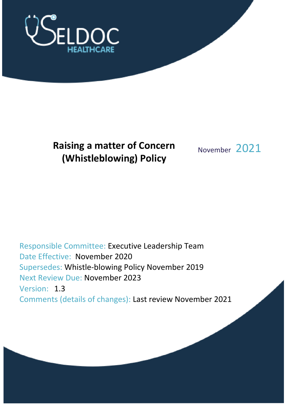

# **Raising a matter of Concern (Whistleblowing) Policy**

November 2021

Responsible Committee: Executive Leadership Team Date Effective: November 2020 Supersedes: Whistle-blowing Policy November 2019 Next Review Due: November 2023 Version: 1.3 Comments (details of changes): Last review November 2021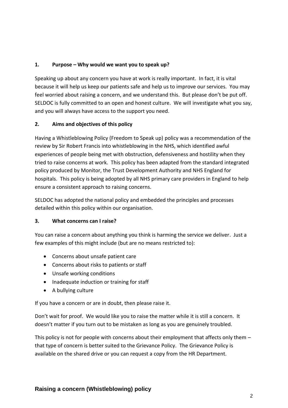## **1. Purpose – Why would we want you to speak up?**

Speaking up about any concern you have at work is really important. In fact, it is vital because it will help us keep our patients safe and help us to improve our services. You may feel worried about raising a concern, and we understand this. But please don't be put off. SELDOC is fully committed to an open and honest culture. We will investigate what you say, and you will always have access to the support you need.

## **2. Aims and objectives of this policy**

Having a Whistleblowing Policy (Freedom to Speak up) policy was a recommendation of the review by Sir Robert Francis into whistleblowing in the NHS, which identified awful experiences of people being met with obstruction, defensiveness and hostility when they tried to raise concerns at work. This policy has been adapted from the standard integrated policy produced by Monitor, the Trust Development Authority and NHS England for hospitals. This policy is being adopted by all NHS primary care providers in England to help ensure a consistent approach to raising concerns.

SELDOC has adopted the national policy and embedded the principles and processes detailed within this policy within our organisation.

## **3. What concerns can I raise?**

You can raise a concern about anything you think is harming the service we deliver. Just a few examples of this might include (but are no means restricted to):

- Concerns about unsafe patient care
- Concerns about risks to patients or staff
- Unsafe working conditions
- Inadequate induction or training for staff
- A bullying culture

If you have a concern or are in doubt, then please raise it.

Don't wait for proof. We would like you to raise the matter while it is still a concern. It doesn't matter if you turn out to be mistaken as long as you are genuinely troubled.

This policy is not for people with concerns about their employment that affects only them that type of concern is better suited to the Grievance Policy. The Grievance Policy is available on the shared drive or you can request a copy from the HR Department.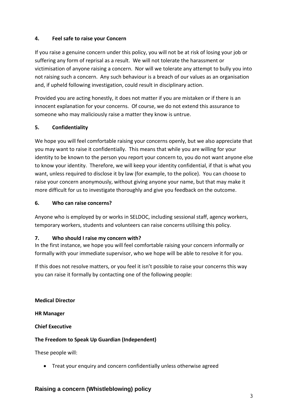## **4. Feel safe to raise your Concern**

If you raise a genuine concern under this policy, you will not be at risk of losing your job or suffering any form of reprisal as a result. We will not tolerate the harassment or victimisation of anyone raising a concern. Nor will we tolerate any attempt to bully you into not raising such a concern. Any such behaviour is a breach of our values as an organisation and, if upheld following investigation, could result in disciplinary action.

Provided you are acting honestly, it does not matter if you are mistaken or if there is an innocent explanation for your concerns. Of course, we do not extend this assurance to someone who may maliciously raise a matter they know is untrue.

## **5. Confidentiality**

We hope you will feel comfortable raising your concerns openly, but we also appreciate that you may want to raise it confidentially. This means that while you are willing for your identity to be known to the person you report your concern to, you do not want anyone else to know your identity. Therefore, we will keep your identity confidential, if that is what you want, unless required to disclose it by law (for example, to the police). You can choose to raise your concern anonymously, without giving anyone your name, but that may make it more difficult for us to investigate thoroughly and give you feedback on the outcome.

## **6. Who can raise concerns?**

Anyone who is employed by or works in SELDOC, including sessional staff, agency workers, temporary workers, students and volunteers can raise concerns utilising this policy.

## **7. Who should I raise my concern with?**

In the first instance, we hope you will feel comfortable raising your concern informally or formally with your immediate supervisor, who we hope will be able to resolve it for you.

If this does not resolve matters, or you feel it isn't possible to raise your concerns this way you can raise it formally by contacting one of the following people:

**Medical Director**

**HR Manager**

**Chief Executive**

# **The Freedom to Speak Up Guardian (Independent)**

These people will:

• Treat your enquiry and concern confidentially unless otherwise agreed

# **Raising a concern (Whistleblowing) policy**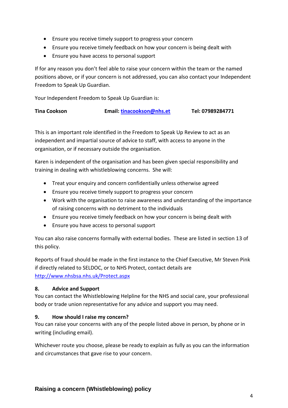- Ensure you receive timely support to progress your concern
- Ensure you receive timely feedback on how your concern is being dealt with
- Ensure you have access to personal support

If for any reason you don't feel able to raise your concern within the team or the named positions above, or if your concern is not addressed, you can also contact your Independent Freedom to Speak Up Guardian.

Your Independent Freedom to Speak Up Guardian is:

| <b>Tina Cookson</b> | Email: tinacookson@nhs.et | Tel: 07989284771 |
|---------------------|---------------------------|------------------|
|                     |                           |                  |

This is an important role identified in the Freedom to Speak Up Review to act as an independent and impartial source of advice to staff, with access to anyone in the organisation, or if necessary outside the organisation.

Karen is independent of the organisation and has been given special responsibility and training in dealing with whistleblowing concerns. She will:

- Treat your enquiry and concern confidentially unless otherwise agreed
- Ensure you receive timely support to progress your concern
- Work with the organisation to raise awareness and understanding of the importance of raising concerns with no detriment to the individuals
- Ensure you receive timely feedback on how your concern is being dealt with
- Ensure you have access to personal support

You can also raise concerns formally with external bodies. These are listed in section 13 of this policy.

Reports of fraud should be made in the first instance to the Chief Executive, Mr Steven Pink if directly related to SELDOC, or to NHS Protect, contact details are <http://www.nhsbsa.nhs.uk/Protect.aspx>

## **8. Advice and Support**

You can contact the Whistleblowing Helpline for the NHS and social care, your professional body or trade union representative for any advice and support you may need.

## **9. How should I raise my concern?**

You can raise your concerns with any of the people listed above in person, by phone or in writing (including email).

Whichever route you choose, please be ready to explain as fully as you can the information and circumstances that gave rise to your concern.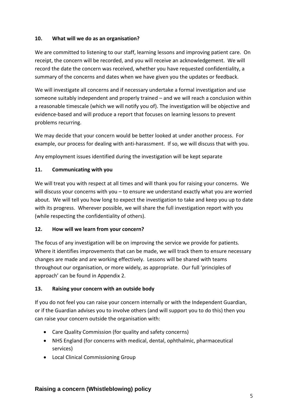## **10. What will we do as an organisation?**

We are committed to listening to our staff, learning lessons and improving patient care. On receipt, the concern will be recorded, and you will receive an acknowledgement. We will record the date the concern was received, whether you have requested confidentiality, a summary of the concerns and dates when we have given you the updates or feedback.

We will investigate all concerns and if necessary undertake a formal investigation and use someone suitably independent and properly trained – and we will reach a conclusion within a reasonable timescale (which we will notify you of). The investigation will be objective and evidence-based and will produce a report that focuses on learning lessons to prevent problems recurring.

We may decide that your concern would be better looked at under another process. For example, our process for dealing with anti-harassment. If so, we will discuss that with you.

Any employment issues identified during the investigation will be kept separate

## **11. Communicating with you**

We will treat you with respect at all times and will thank you for raising your concerns. We will discuss your concerns with you – to ensure we understand exactly what you are worried about. We will tell you how long to expect the investigation to take and keep you up to date with its progress. Wherever possible, we will share the full investigation report with you (while respecting the confidentiality of others).

## **12. How will we learn from your concern?**

The focus of any investigation will be on improving the service we provide for patients. Where it identifies improvements that can be made, we will track them to ensure necessary changes are made and are working effectively. Lessons will be shared with teams throughout our organisation, or more widely, as appropriate. Our full 'principles of approach' can be found in Appendix 2.

# **13. Raising your concern with an outside body**

If you do not feel you can raise your concern internally or with the Independent Guardian, or if the Guardian advises you to involve others (and will support you to do this) then you can raise your concern outside the organisation with:

- Care Quality Commission (for quality and safety concerns)
- NHS England (for concerns with medical, dental, ophthalmic, pharmaceutical services)
- Local Clinical Commissioning Group

# **Raising a concern (Whistleblowing) policy**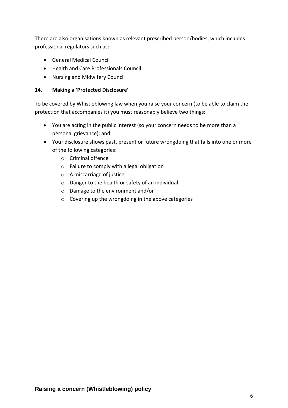There are also organisations known as relevant prescribed person/bodies, which includes professional regulators such as:

- General Medical Council
- Health and Care Professionals Council
- Nursing and Midwifery Council

#### **14. Making a 'Protected Disclosure'**

To be covered by Whistleblowing law when you raise your concern (to be able to claim the protection that accompanies it) you must reasonably believe two things:

- You are acting in the public interest (so your concern needs to be more than a personal grievance); and
- Your disclosure shows past, present or future wrongdoing that falls into one or more of the following categories:
	- o Criminal offence
	- o Failure to comply with a legal obligation
	- o A miscarriage of justice
	- o Danger to the health or safety of an individual
	- o Damage to the environment and/or
	- o Covering up the wrongdoing in the above categories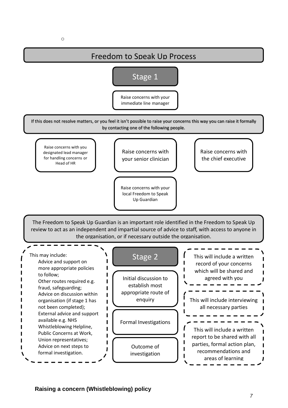